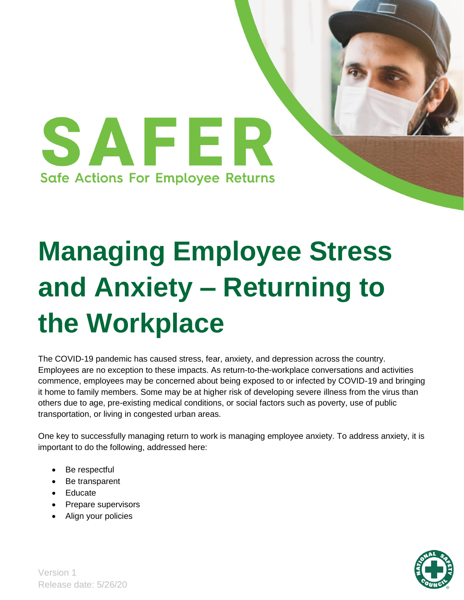

# **Managing Employee Stress and Anxiety – Returning to the Workplace**

The COVID-19 pandemic has caused stress, fear, anxiety, and depression across the country. Employees are no exception to these impacts. As return-to-the-workplace conversations and activities commence, employees may be concerned about being exposed to or infected by COVID-19 and bringing it home to family members. Some may be at higher risk of developing severe illness from the virus than others due to age, pre-existing medical conditions, or social factors such as poverty, use of public transportation, or living in congested urban areas.

One key to successfully managing return to work is managing employee anxiety. To address anxiety, it is important to do the following, addressed here:

- Be respectful
- Be transparent
- Educate
- Prepare supervisors
- Align your policies

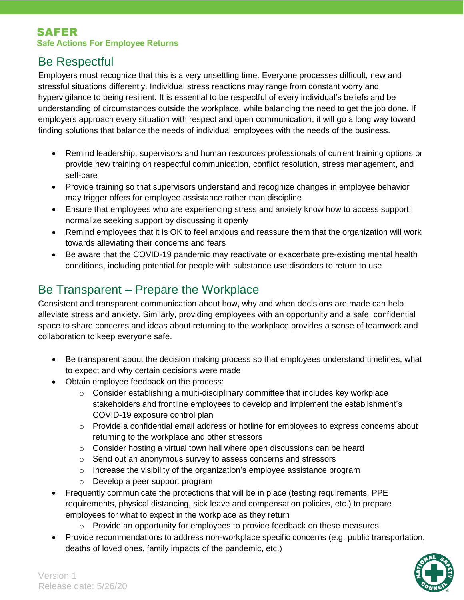#### **SAFER Safe Actions For Employee Returns**

## Be Respectful

Employers must recognize that this is a very unsettling time. Everyone processes difficult, new and stressful situations differently. Individual stress reactions may range from constant worry and hypervigilance to being resilient. It is essential to be respectful of every individual's beliefs and be understanding of circumstances outside the workplace, while balancing the need to get the job done. If employers approach every situation with respect and open communication, it will go a long way toward finding solutions that balance the needs of individual employees with the needs of the business.

- Remind leadership, supervisors and human resources professionals of current training options or provide new training on respectful communication, conflict resolution, stress management, and self-care
- Provide training so that supervisors understand and recognize changes in employee behavior may trigger offers for employee assistance rather than discipline
- Ensure that employees who are experiencing stress and anxiety know how to access support; normalize seeking support by discussing it openly
- Remind employees that it is OK to feel anxious and reassure them that the organization will work towards alleviating their concerns and fears
- Be aware that the COVID-19 pandemic may reactivate or exacerbate pre-existing mental health conditions, including potential for people with substance use disorders to return to use

# Be Transparent – Prepare the Workplace

Consistent and transparent communication about how, why and when decisions are made can help alleviate stress and anxiety. Similarly, providing employees with an opportunity and a safe, confidential space to share concerns and ideas about returning to the workplace provides a sense of teamwork and collaboration to keep everyone safe.

- Be transparent about the decision making process so that employees understand timelines, what to expect and why certain decisions were made
- Obtain employee feedback on the process:
	- $\circ$  Consider establishing a multi-disciplinary committee that includes key workplace stakeholders and frontline employees to develop and implement the establishment's COVID-19 exposure control plan
	- $\circ$  Provide a confidential email address or hotline for employees to express concerns about returning to the workplace and other stressors
	- $\circ$  Consider hosting a virtual town hall where open discussions can be heard
	- o Send out an anonymous survey to assess concerns and stressors
	- o Increase the visibility of the organization's employee assistance program
	- o Develop a peer support program
- Frequently communicate the protections that will be in place (testing requirements, PPE requirements, physical distancing, sick leave and compensation policies, etc.) to prepare employees for what to expect in the workplace as they return
	- $\circ$  Provide an opportunity for employees to provide feedback on these measures
- Provide recommendations to address non-workplace specific concerns (e.g. public transportation, deaths of loved ones, family impacts of the pandemic, etc.)

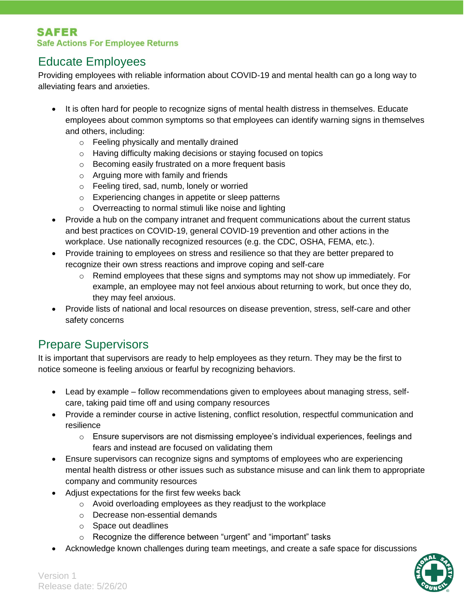## Educate Employees

Providing employees with reliable information about COVID-19 and mental health can go a long way to alleviating fears and anxieties.

- It is often hard for people to recognize signs of mental health distress in themselves. Educate employees about common symptoms so that employees can identify warning signs in themselves and others, including:
	- o Feeling physically and mentally drained
	- o Having difficulty making decisions or staying focused on topics
	- o Becoming easily frustrated on a more frequent basis
	- o Arguing more with family and friends
	- o Feeling tired, sad, numb, lonely or worried
	- o Experiencing changes in appetite or sleep patterns
	- o Overreacting to normal stimuli like noise and lighting
- Provide a hub on the company intranet and frequent communications about the current status and best practices on COVID-19, general COVID-19 prevention and other actions in the workplace. Use nationally recognized resources (e.g. the CDC, OSHA, FEMA, etc.).
- Provide training to employees on stress and resilience so that they are better prepared to recognize their own stress reactions and improve coping and self-care
	- $\circ$  Remind employees that these signs and symptoms may not show up immediately. For example, an employee may not feel anxious about returning to work, but once they do, they may feel anxious.
- Provide lists of national and local resources on disease prevention, stress, self-care and other safety concerns

# Prepare Supervisors

It is important that supervisors are ready to help employees as they return. They may be the first to notice someone is feeling anxious or fearful by recognizing behaviors.

- Lead by example follow recommendations given to employees about managing stress, selfcare, taking paid time off and using company resources
- Provide a reminder course in active listening, conflict resolution, respectful communication and resilience
	- $\circ$  Ensure supervisors are not dismissing employee's individual experiences, feelings and fears and instead are focused on validating them
- Ensure supervisors can recognize signs and symptoms of employees who are experiencing mental health distress or other issues such as substance misuse and can link them to appropriate company and community resources
- Adjust expectations for the first few weeks back
	- o Avoid overloading employees as they readjust to the workplace
	- o Decrease non-essential demands
	- o Space out deadlines
	- o Recognize the difference between "urgent" and "important" tasks
- Acknowledge known challenges during team meetings, and create a safe space for discussions